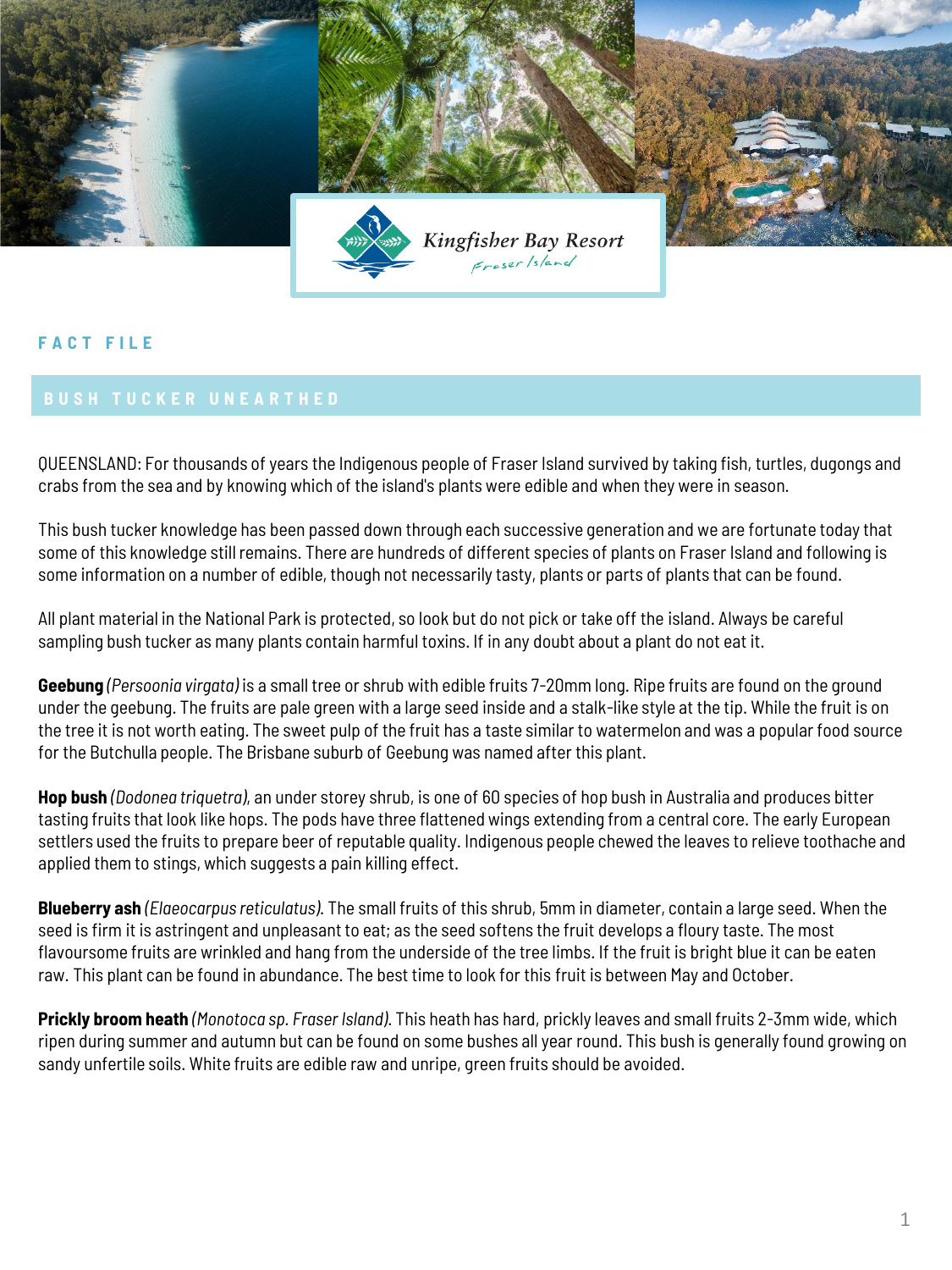

## **F A C T F I L E**

QUEENSLAND: For thousands of years the Indigenous people of Fraser Island survived by taking fish, turtles, dugongs and crabs from the sea and by knowing which of the island's plants were edible and when they were in season.

This bush tucker knowledge has been passed down through each successive generation and we are fortunate today that some of this knowledge still remains. There are hundreds of different species of plants on Fraser Island and following is some information on a number of edible, though not necessarily tasty, plants or parts of plants that can be found.

All plant material in the National Park is protected, so look but do not pick or take off the island. Always be careful sampling bush tucker as many plants contain harmful toxins. If in any doubt about a plant do not eat it.

**Geebung** *(Persoonia virgata)* is a small tree or shrub with edible fruits 7-20mm long. Ripe fruits are found on the ground under the geebung. The fruits are pale green with a large seed inside and a stalk-like style at the tip. While the fruit is on the tree it is not worth eating. The sweet pulp of the fruit has a taste similar to watermelon and was a popular food source for the Butchulla people. The Brisbane suburb of Geebung was named after this plant.

**Hop bush** *(Dodonea triquetra)*, an under storey shrub, is one of 60 species of hop bush in Australia and produces bitter tasting fruits that look like hops. The pods have three flattened wings extending from a central core. The early European settlers used the fruits to prepare beer of reputable quality. Indigenous people chewed the leaves to relieve toothache and applied them to stings, which suggests a pain killing effect.

**Blueberry ash** *(Elaeocarpus reticulatus)*. The small fruits of this shrub, 5mm in diameter, contain a large seed. When the seed is firm it is astringent and unpleasant to eat; as the seed softens the fruit develops a floury taste. The most flavoursome fruits are wrinkled and hang from the underside of the tree limbs. If the fruit is bright blue it can be eaten raw. This plant can be found in abundance. The best time to look for this fruit is between May and October.

**Prickly broom heath** *(Monotoca sp. Fraser Island)*. This heath has hard, prickly leaves and small fruits 2-3mm wide, which ripen during summer and autumn but can be found on some bushes all year round. This bush is generally found growing on sandy unfertile soils. White fruits are edible raw and unripe, green fruits should be avoided.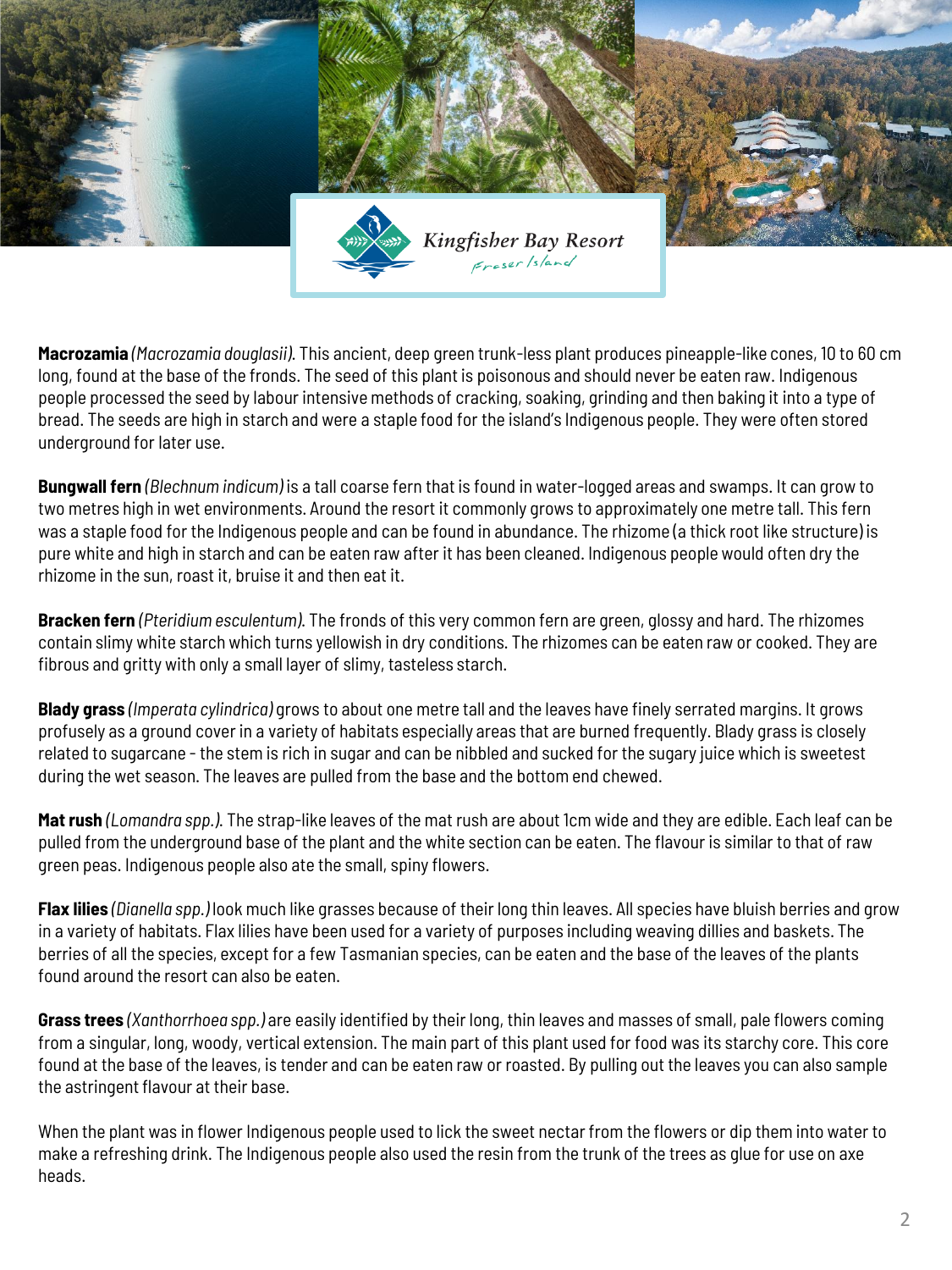

**Macrozamia** *(Macrozamia douglasii)*. This ancient, deep green trunk-less plant produces pineapple-like cones, 10 to 60 cm long, found at the base of the fronds. The seed of this plant is poisonous and should never be eaten raw. Indigenous people processed the seed by labour intensive methods of cracking, soaking, grinding and then baking it into a type of bread. The seeds are high in starch and were a staple food for the island's Indigenous people. They were often stored underground for later use.

**Bungwall fern** *(Blechnum indicum)* is a tall coarse fern that is found in water-logged areas and swamps. It can grow to two metres high in wet environments. Around the resort it commonly grows to approximately one metre tall. This fern was a staple food for the Indigenous people and can be found in abundance. The rhizome (a thick root like structure) is pure white and high in starch and can be eaten raw after it has been cleaned. Indigenous people would often dry the rhizome in the sun, roast it, bruise it and then eat it.

**Bracken fern** *(Pteridium esculentum)*. The fronds of this very common fern are green, glossy and hard. The rhizomes contain slimy white starch which turns yellowish in dry conditions. The rhizomes can be eaten raw or cooked. They are fibrous and gritty with only a small layer of slimy, tasteless starch.

**Blady grass** *(Imperata cylindrica)* grows to about one metre tall and the leaves have finely serrated margins. It grows profusely as a ground cover in a variety of habitats especially areas that are burned frequently. Blady grass is closely related to sugarcane - the stem is rich in sugar and can be nibbled and sucked for the sugary juice which is sweetest during the wet season. The leaves are pulled from the base and the bottom end chewed.

**Mat rush** *(Lomandra spp.)*. The strap-like leaves of the mat rush are about 1cm wide and they are edible. Each leaf can be pulled from the underground base of the plant and the white section can be eaten. The flavour is similar to that of raw green peas. Indigenous people also ate the small, spiny flowers.

**Flax lilies** *(Dianella spp.)* look much like grasses because of their long thin leaves. All species have bluish berries and grow in a variety of habitats. Flax lilies have been used for a variety of purposes including weaving dillies and baskets. The berries of all the species, except for a few Tasmanian species, can be eaten and the base of the leaves of the plants found around the resort can also be eaten.

**Grass trees** *(Xanthorrhoea spp.)* are easily identified by their long, thin leaves and masses of small, pale flowers coming from a singular, long, woody, vertical extension. The main part of this plant used for food was its starchy core. This core found at the base of the leaves, is tender and can be eaten raw or roasted. By pulling out the leaves you can also sample the astringent flavour at their base.

When the plant was in flower Indigenous people used to lick the sweet nectar from the flowers or dip them into water to make a refreshing drink. The Indigenous people also used the resin from the trunk of the trees as glue for use on axe heads.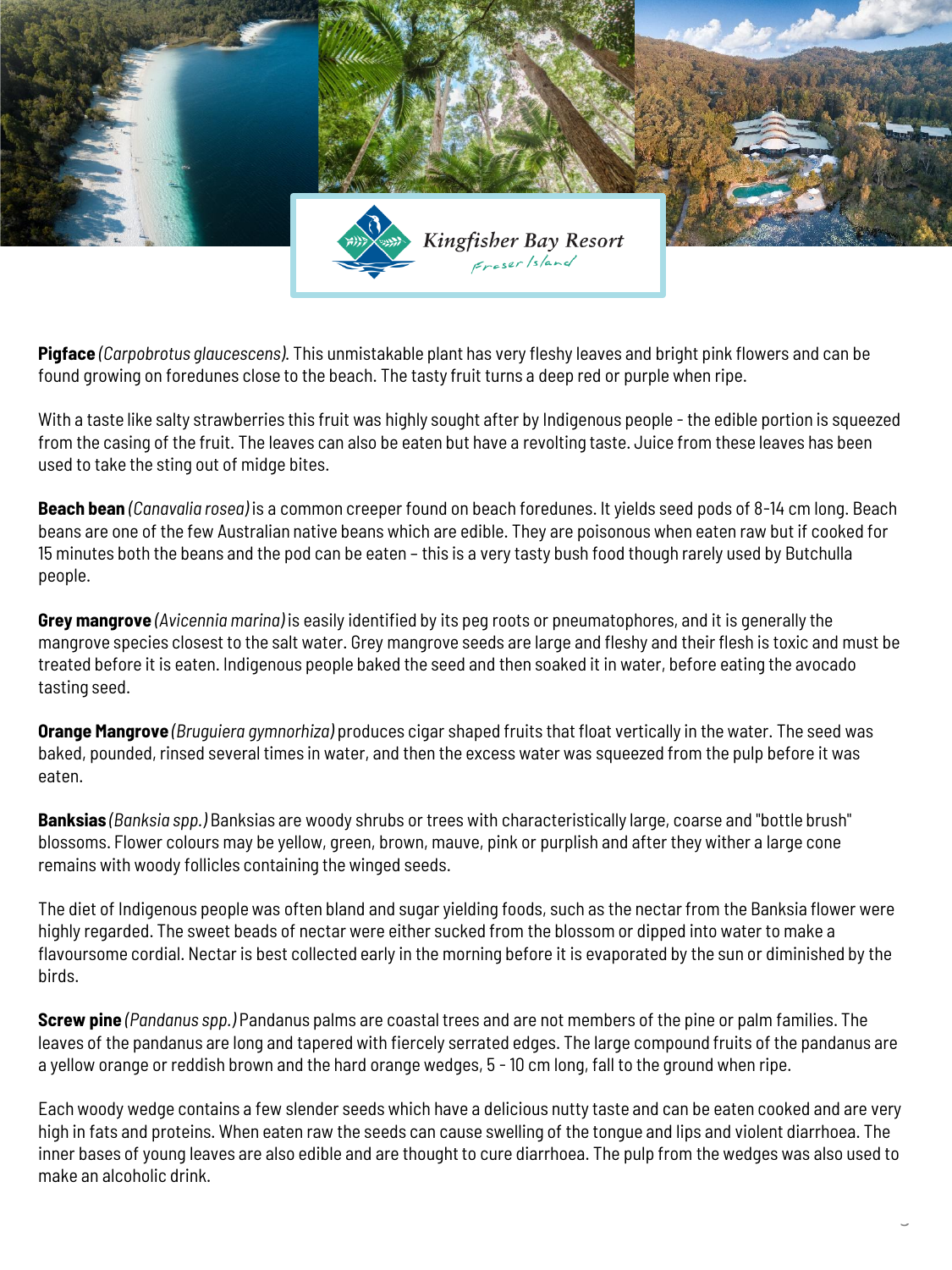

**Pigface** *(Carpobrotus glaucescens)*. This unmistakable plant has very fleshy leaves and bright pink flowers and can be found growing on foredunes close to the beach. The tasty fruit turns a deep red or purple when ripe.

With a taste like salty strawberries this fruit was highly sought after by Indigenous people - the edible portion is squeezed from the casing of the fruit. The leaves can also be eaten but have a revolting taste. Juice from these leaves has been used to take the sting out of midge bites.

**Beach bean** *(Canavalia rosea)* is a common creeper found on beach foredunes. It yields seed pods of 8-14 cm long. Beach beans are one of the few Australian native beans which are edible. They are poisonous when eaten raw but if cooked for 15 minutes both the beans and the pod can be eaten – this is a very tasty bush food though rarely used by Butchulla people.

**Grey mangrove** *(Avicennia marina)* is easily identified by its peg roots or pneumatophores, and it is generally the mangrove species closest to the salt water. Grey mangrove seeds are large and fleshy and their flesh is toxic and must be treated before it is eaten. Indigenous people baked the seed and then soaked it in water, before eating the avocado tasting seed.

**Orange Mangrove** *(Bruguiera gymnorhiza)* produces cigar shaped fruits that float vertically in the water. The seed was baked, pounded, rinsed several times in water, and then the excess water was squeezed from the pulp before it was eaten.

**Banksias** *(Banksia spp.)* Banksias are woody shrubs or trees with characteristically large, coarse and "bottle brush" blossoms. Flower colours may be yellow, green, brown, mauve, pink or purplish and after they wither a large cone remains with woody follicles containing the winged seeds.

The diet of Indigenous people was often bland and sugar yielding foods, such as the nectar from the Banksia flower were highly regarded. The sweet beads of nectar were either sucked from the blossom or dipped into water to make a flavoursome cordial. Nectar is best collected early in the morning before it is evaporated by the sun or diminished by the birds.

**Screw pine** *(Pandanus spp.)* Pandanus palms are coastal trees and are not members of the pine or palm families. The leaves of the pandanus are long and tapered with fiercely serrated edges. The large compound fruits of the pandanus are a yellow orange or reddish brown and the hard orange wedges, 5 - 10 cm long, fall to the ground when ripe.

Each woody wedge contains a few slender seeds which have a delicious nutty taste and can be eaten cooked and are very high in fats and proteins. When eaten raw the seeds can cause swelling of the tongue and lips and violent diarrhoea. The inner bases of young leaves are also edible and are thought to cure diarrhoea. The pulp from the wedges was also used to make an alcoholic drink.